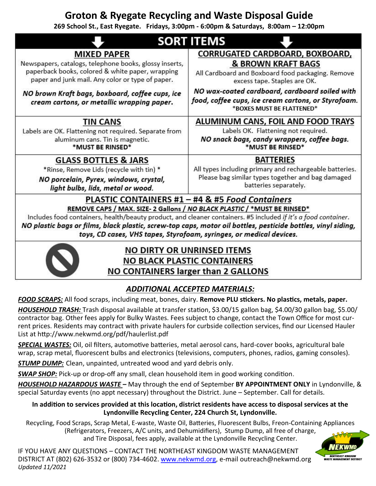# **Groton & Ryegate Recycling and Waste Disposal Guide**

**269 School St., East Ryegate. Fridays, 3:00pm - 6:00pm & Saturdays, 8:00am – 12:00pm**

| <b>SORT ITEMS</b>                                                                                                                                              |                                                                                                                                    |
|----------------------------------------------------------------------------------------------------------------------------------------------------------------|------------------------------------------------------------------------------------------------------------------------------------|
| <b>MIXED PAPER</b>                                                                                                                                             | CORRUGATED CARDBOARD, BOXBOARD,                                                                                                    |
| Newspapers, catalogs, telephone books, glossy inserts,<br>paperback books, colored & white paper, wrapping<br>paper and junk mail. Any color or type of paper. | <b>&amp; BROWN KRAFT BAGS</b><br>All Cardboard and Boxboard food packaging. Remove<br>excess tape. Staples are OK.                 |
| NO brown Kraft bags, boxboard, coffee cups, ice<br>cream cartons, or metallic wrapping paper.                                                                  | NO wax-coated cardboard, cardboard soiled with<br>food, coffee cups, ice cream cartons, or Styrofoam.<br>*BOXES MUST BE FLATTENED* |
| TIN CANS                                                                                                                                                       | ALUMINUM CANS, FOIL AND FOOD TRAYS                                                                                                 |
| Labels are OK. Flattening not required. Separate from<br>aluminum cans. Tin is magnetic.<br>*MUST BE RINSED*                                                   | Labels OK. Flattening not required.<br>NO snack bags, candy wrappers, coffee bags.<br>*MUST BE RINSED*                             |
| <b>GLASS BOTTLES &amp; JARS</b>                                                                                                                                | <b>BATTERIES</b>                                                                                                                   |
| *Rinse, Remove Lids (recycle with tin) *                                                                                                                       | All types including primary and rechargeable batteries.                                                                            |
| NO porcelain, Pyrex, windows, crystal,<br>light bulbs, lids, metal or wood.                                                                                    | Please bag similar types together and bag damaged<br>batteries separately.                                                         |
| PLASTIC CONTAINERS #1 - #4 & #5 Food Containers                                                                                                                |                                                                                                                                    |
| REMOVE CAPS / MAX. SIZE- 2 Gallons / NO BLACK PLASTIC / *MUST BE RINSED*                                                                                       |                                                                                                                                    |
| Includes food containers, health/beauty product, and cleaner containers. #5 included if it's a food container.                                                 |                                                                                                                                    |
| NO plastic bags or films, black plastic, screw-top caps, motor oil bottles, pesticide bottles, vinyl siding,                                                   |                                                                                                                                    |

toys, CD cases, VHS tapes, Styrofoam, syringes, or medical devices.



# **NO DIRTY OR UNRINSED ITEMS NO BLACK PLASTIC CONTAINERS NO CONTAINERS larger than 2 GALLONS**

## *ADDITIONAL ACCEPTED MATERIALS:*

*FOOD SCRAPS:* All food scraps, including meat, bones, dairy. **Remove PLU stickers. No plastics, metals, paper.**

*HOUSEHOLD TRASH:* Trash disposal available at transfer station, \$3.00/15 gallon bag, \$4.00/30 gallon bag, \$5.00/ contractor bag. Other fees apply for Bulky Wastes. Fees subject to change, contact the Town Office for most current prices. Residents may contract with private haulers for curbside collection services, find our Licensed Hauler List at http://www.nekwmd.org/pdf/haulerlist.pdf

*SPECIAL WASTES:* Oil, oil filters, automotive batteries, metal aerosol cans, hard-cover books, agricultural bale wrap, scrap metal, fluorescent bulbs and electronics (televisions, computers, phones, radios, gaming consoles).

*STUMP DUMP:* Clean, unpainted, untreated wood and yard debris only.

**SWAP SHOP:** Pick-up or drop-off any small, clean household item in good working condition.

*HOUSEHOLD HAZARDOUS WASTE –* May through the end of September **BY APPOINTMENT ONLY** in Lyndonville, & special Saturday events (no appt necessary) throughout the District. June – September. Call for details.

#### **In addition to services provided at this location, district residents have access to disposal services at the Lyndonville Recycling Center, 224 Church St, Lyndonville.**

Recycling, Food Scraps, Scrap Metal, E-waste, Waste Oil, Batteries, Fluorescent Bulbs, Freon-Containing Appliances (Refrigerators, Freezers, A/C units, and Dehumidifiers), Stump Dump, all free of charge,

and Tire Disposal, fees apply, available at the Lyndonville Recycling Center.

IF YOU HAVE ANY QUESTIONS – CONTACT THE NORTHEAST KINGDOM WASTE MANAGEMENT DISTRICT AT (802) 626-3532 or (800) 734-4602. www.nekwmd.org, e-mail outreach@nekwmd.org *Updated 11/2021*